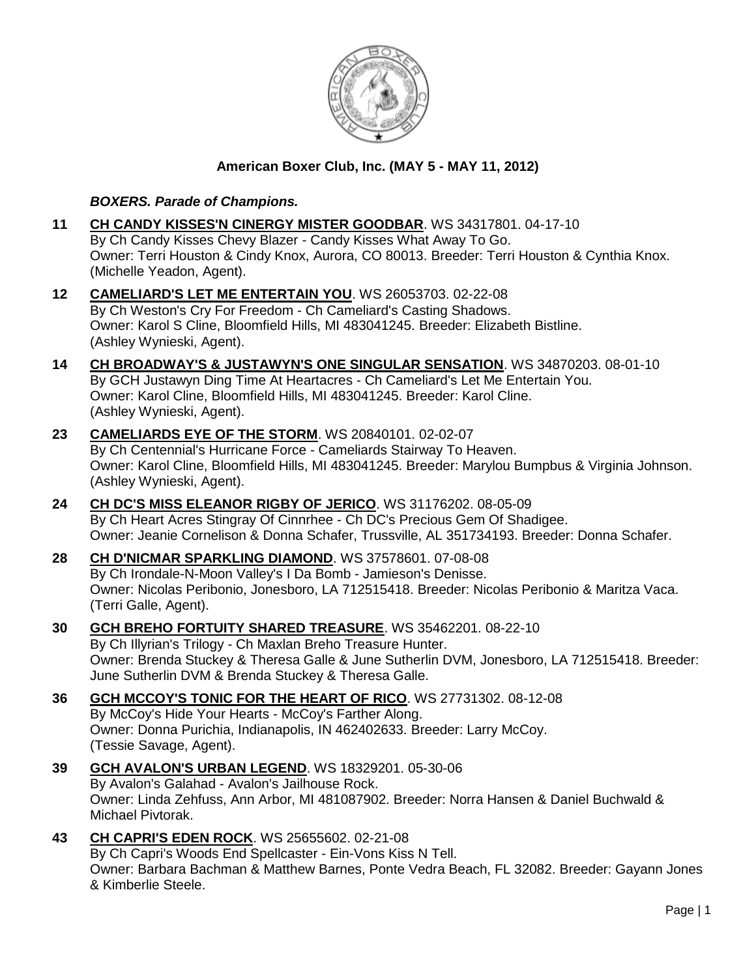

## **American Boxer Club, Inc. (MAY 5 - MAY 11, 2012)**

## *BOXERS. Parade of Champions.*

- **11 [CH CANDY KISSES'N CINERGY MISTER GOODBAR](http://www.infodog.com/files/bdogrsl1.prg;makc=WS%2034317801;mdog=Ch_Candy_Kisses_N_Cinergy_Mister_Goodbar;wins=all)**. WS 34317801. 04-17-10 By Ch Candy Kisses Chevy Blazer - Candy Kisses What Away To Go. Owner: Terri Houston & Cindy Knox, Aurora, CO 80013. Breeder: Terri Houston & Cynthia Knox. (Michelle Yeadon, Agent).
- **12 [CAMELIARD'S LET ME ENTERTAIN YOU](http://www.infodog.com/files/bdogrsl1.prg;makc=WS%2026053703;mdog=Cameliard_s_Let_Me_Entertain_You;wins=all)**. WS 26053703. 02-22-08 By Ch Weston's Cry For Freedom - Ch Cameliard's Casting Shadows. Owner: Karol S Cline, Bloomfield Hills, MI 483041245. Breeder: Elizabeth Bistline. (Ashley Wynieski, Agent).
- **14 [CH BROADWAY'S & JUSTAWYN'S ONE SINGULAR SENSATION](http://www.infodog.com/files/bdogrsl1.prg;makc=WS%2034870203;mdog=Ch_Broadway_s_&_Justawyn_s_One_Singular_Sensation;wins=all)**. WS 34870203. 08-01-10 By GCH Justawyn Ding Time At Heartacres - Ch Cameliard's Let Me Entertain You. Owner: Karol Cline, Bloomfield Hills, MI 483041245. Breeder: Karol Cline. (Ashley Wynieski, Agent).
- **23 [CAMELIARDS EYE OF THE STORM](http://www.infodog.com/files/bdogrsl1.prg;makc=WS%2020840101;mdog=Cameliards_Eye_Of_The_Storm;wins=all)**. WS 20840101. 02-02-07 By Ch Centennial's Hurricane Force - Cameliards Stairway To Heaven. Owner: Karol Cline, Bloomfield Hills, MI 483041245. Breeder: Marylou Bumpbus & Virginia Johnson. (Ashley Wynieski, Agent).
- **24 [CH DC'S MISS ELEANOR RIGBY OF JERICO](http://www.infodog.com/files/bdogrsl1.prg;makc=WS%2031176202;mdog=Ch_DC_s_Miss_Eleanor_Rigby_Of_Jerico;wins=all)**. WS 31176202. 08-05-09 By Ch Heart Acres Stingray Of Cinnrhee - Ch DC's Precious Gem Of Shadigee. Owner: Jeanie Cornelison & Donna Schafer, Trussville, AL 351734193. Breeder: Donna Schafer.
- **28 [CH D'NICMAR SPARKLING DIAMOND](http://www.infodog.com/files/bdogrsl1.prg;makc=WS%2037578601;mdog=Ch_D_Nicmar_Sparkling_Diamond;wins=all)**. WS 37578601. 07-08-08 By Ch Irondale-N-Moon Valley's I Da Bomb - Jamieson's Denisse. Owner: Nicolas Peribonio, Jonesboro, LA 712515418. Breeder: Nicolas Peribonio & Maritza Vaca. (Terri Galle, Agent).
- **30 [GCH BREHO FORTUITY SHARED TREASURE](http://www.infodog.com/files/bdogrsl1.prg;makc=WS%2035462201;mdog=GCH_Breho_Fortuity_Shared_Treasure;wins=all)**. WS 35462201. 08-22-10 By Ch Illyrian's Trilogy - Ch Maxlan Breho Treasure Hunter. Owner: Brenda Stuckey & Theresa Galle & June Sutherlin DVM, Jonesboro, LA 712515418. Breeder: June Sutherlin DVM & Brenda Stuckey & Theresa Galle.
- **36 [GCH MCCOY'S TONIC FOR THE HEART OF RICO](http://www.infodog.com/files/bdogrsl1.prg;makc=WS%2027731302;mdog=GCH_McCoy_s_Tonic_For_The_Heart_Of_Rico;wins=all)**. WS 27731302. 08-12-08 By McCoy's Hide Your Hearts - McCoy's Farther Along. Owner: Donna Purichia, Indianapolis, IN 462402633. Breeder: Larry McCoy. (Tessie Savage, Agent).
- **39 [GCH AVALON'S URBAN LEGEND](http://www.infodog.com/files/bdogrsl1.prg;makc=WS%2018329201;mdog=GCH_Avalon_s_Urban_Legend;wins=all)**. WS 18329201. 05-30-06 By Avalon's Galahad - Avalon's Jailhouse Rock. Owner: Linda Zehfuss, Ann Arbor, MI 481087902. Breeder: Norra Hansen & Daniel Buchwald & Michael Pivtorak.
- **43 [CH CAPRI'S EDEN ROCK](http://www.infodog.com/files/bdogrsl1.prg;makc=WS%2025655602;mdog=Ch_Capri_s_Eden_Rock;wins=all)**. WS 25655602. 02-21-08 By Ch Capri's Woods End Spellcaster - Ein-Vons Kiss N Tell. Owner: Barbara Bachman & Matthew Barnes, Ponte Vedra Beach, FL 32082. Breeder: Gayann Jones & Kimberlie Steele.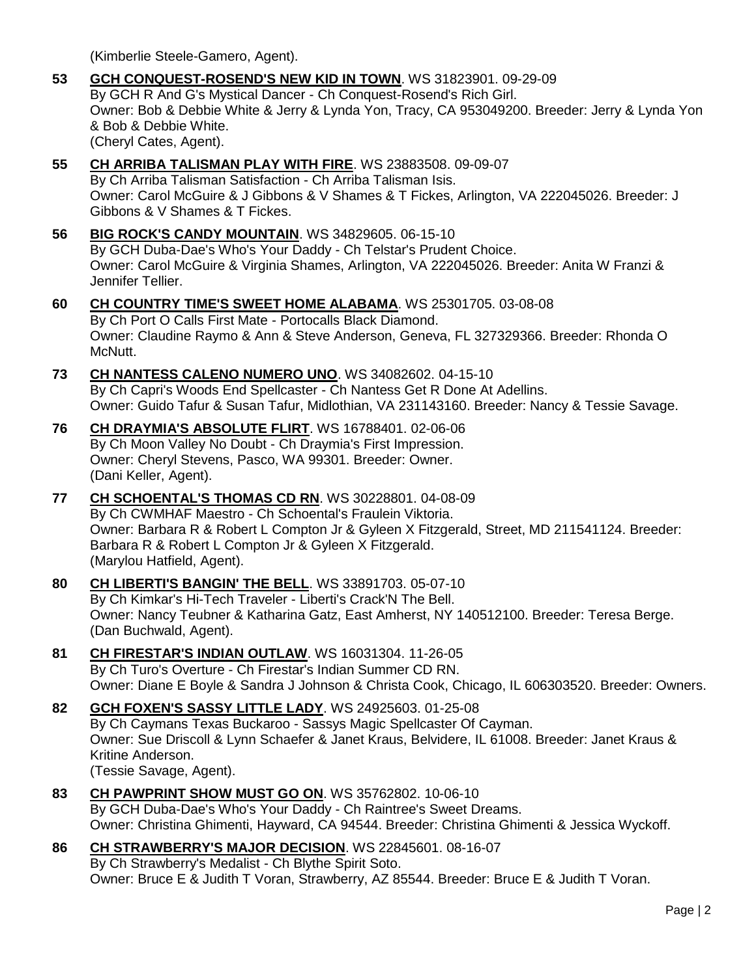(Kimberlie Steele-Gamero, Agent).

- **53 [GCH CONQUEST-ROSEND'S NEW KID IN TOWN](http://www.infodog.com/files/bdogrsl1.prg;makc=WS%2031823901;mdog=GCH_Conquest-Rosend_s_New_Kid_In_Town;wins=all)**. WS 31823901. 09-29-09 By GCH R And G's Mystical Dancer - Ch Conquest-Rosend's Rich Girl. Owner: Bob & Debbie White & Jerry & Lynda Yon, Tracy, CA 953049200. Breeder: Jerry & Lynda Yon & Bob & Debbie White. (Cheryl Cates, Agent).
- **55 [CH ARRIBA TALISMAN PLAY WITH FIRE](http://www.infodog.com/files/bdogrsl1.prg;makc=WS%2023883508;mdog=Ch_Arriba_Talisman_Play_With_Fire;wins=all)**. WS 23883508. 09-09-07 By Ch Arriba Talisman Satisfaction - Ch Arriba Talisman Isis. Owner: Carol McGuire & J Gibbons & V Shames & T Fickes, Arlington, VA 222045026. Breeder: J Gibbons & V Shames & T Fickes.
- **56 [BIG ROCK'S CANDY MOUNTAIN](http://www.infodog.com/files/bdogrsl1.prg;makc=WS%2034829605;mdog=Big_Rock_s_Candy_Mountain;wins=all)**. WS 34829605. 06-15-10 By GCH Duba-Dae's Who's Your Daddy - Ch Telstar's Prudent Choice. Owner: Carol McGuire & Virginia Shames, Arlington, VA 222045026. Breeder: Anita W Franzi & Jennifer Tellier.
- **60 [CH COUNTRY TIME'S SWEET HOME ALABAMA](http://www.infodog.com/files/bdogrsl1.prg;makc=WS%2025301705;mdog=Ch_Country_Time_s_Sweet_Home_Alabama;wins=all)**. WS 25301705. 03-08-08 By Ch Port O Calls First Mate - Portocalls Black Diamond. Owner: Claudine Raymo & Ann & Steve Anderson, Geneva, FL 327329366. Breeder: Rhonda O McNutt.
- **73 [CH NANTESS CALENO NUMERO UNO](http://www.infodog.com/files/bdogrsl1.prg;makc=WS%2034082602;mdog=Ch_Nantess_Caleno_Numero_Uno;wins=all)**. WS 34082602. 04-15-10 By Ch Capri's Woods End Spellcaster - Ch Nantess Get R Done At Adellins. Owner: Guido Tafur & Susan Tafur, Midlothian, VA 231143160. Breeder: Nancy & Tessie Savage.
- **76 [CH DRAYMIA'S ABSOLUTE FLIRT](http://www.infodog.com/files/bdogrsl1.prg;makc=WS%2016788401;mdog=Ch_Draymia_s_Absolute_Flirt;wins=all)**. WS 16788401. 02-06-06 By Ch Moon Valley No Doubt - Ch Draymia's First Impression. Owner: Cheryl Stevens, Pasco, WA 99301. Breeder: Owner. (Dani Keller, Agent).
- **77 [CH SCHOENTAL'S THOMAS CD RN](http://www.infodog.com/files/bdogrsl1.prg;makc=WS%2030228801;mdog=Ch_Schoental_s_Thomas_CD_RN;wins=all)**. WS 30228801. 04-08-09 By Ch CWMHAF Maestro - Ch Schoental's Fraulein Viktoria. Owner: Barbara R & Robert L Compton Jr & Gyleen X Fitzgerald, Street, MD 211541124. Breeder: Barbara R & Robert L Compton Jr & Gyleen X Fitzgerald. (Marylou Hatfield, Agent).
- **80 [CH LIBERTI'S BANGIN' THE BELL](http://www.infodog.com/files/bdogrsl1.prg;makc=WS%2033891703;mdog=Ch_Liberti_s_Bangin__The_Bell;wins=all)**. WS 33891703. 05-07-10 By Ch Kimkar's Hi-Tech Traveler - Liberti's Crack'N The Bell. Owner: Nancy Teubner & Katharina Gatz, East Amherst, NY 140512100. Breeder: Teresa Berge. (Dan Buchwald, Agent).
- **81 [CH FIRESTAR'S INDIAN OUTLAW](http://www.infodog.com/files/bdogrsl1.prg;makc=WS%2016031304;mdog=Ch_Firestar_s_Indian_Outlaw;wins=all)**. WS 16031304. 11-26-05 By Ch Turo's Overture - Ch Firestar's Indian Summer CD RN. Owner: Diane E Boyle & Sandra J Johnson & Christa Cook, Chicago, IL 606303520. Breeder: Owners.
- **82 [GCH FOXEN'S SASSY LITTLE LADY](http://www.infodog.com/files/bdogrsl1.prg;makc=WS%2024925603;mdog=GCH_Foxen_s_Sassy_Little_Lady;wins=all)**. WS 24925603. 01-25-08 By Ch Caymans Texas Buckaroo - Sassys Magic Spellcaster Of Cayman. Owner: Sue Driscoll & Lynn Schaefer & Janet Kraus, Belvidere, IL 61008. Breeder: Janet Kraus & Kritine Anderson. (Tessie Savage, Agent).
- **83 [CH PAWPRINT SHOW MUST GO ON](http://www.infodog.com/files/bdogrsl1.prg;makc=WS%2035762802;mdog=Ch_PawPrint_Show_Must_Go_On;wins=all)**. WS 35762802. 10-06-10 By GCH Duba-Dae's Who's Your Daddy - Ch Raintree's Sweet Dreams. Owner: Christina Ghimenti, Hayward, CA 94544. Breeder: Christina Ghimenti & Jessica Wyckoff.
- **86 [CH STRAWBERRY'S MAJOR DECISION](http://www.infodog.com/files/bdogrsl1.prg;makc=WS%2022845601;mdog=Ch_Strawberry_s_Major_Decision;wins=all)**. WS 22845601. 08-16-07 By Ch Strawberry's Medalist - Ch Blythe Spirit Soto. Owner: Bruce E & Judith T Voran, Strawberry, AZ 85544. Breeder: Bruce E & Judith T Voran.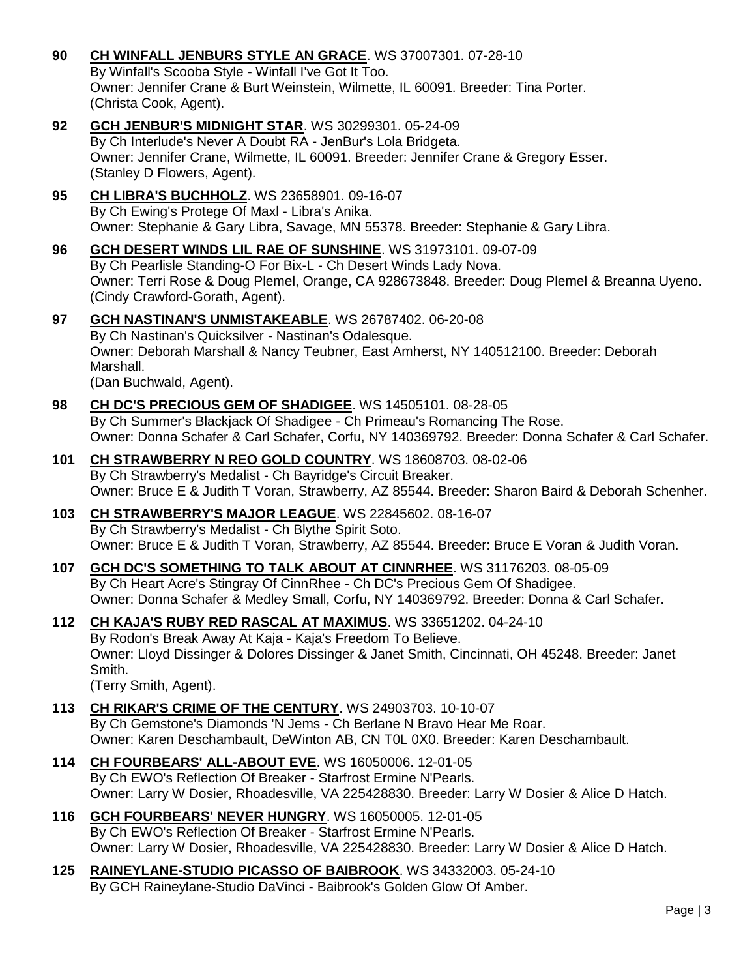- **90 [CH WINFALL JENBURS STYLE AN GRACE](http://www.infodog.com/files/bdogrsl1.prg;makc=WS%2037007301;mdog=Ch_Winfall_JenBurs_Style_An_Grace;wins=all)**. WS 37007301. 07-28-10 By Winfall's Scooba Style - Winfall I've Got It Too. Owner: Jennifer Crane & Burt Weinstein, Wilmette, IL 60091. Breeder: Tina Porter. (Christa Cook, Agent).
- **92 [GCH JENBUR'S MIDNIGHT STAR](http://www.infodog.com/files/bdogrsl1.prg;makc=WS%2030299301;mdog=GCH_JenBur_s_Midnight_Star;wins=all)**. WS 30299301. 05-24-09 By Ch Interlude's Never A Doubt RA - JenBur's Lola Bridgeta. Owner: Jennifer Crane, Wilmette, IL 60091. Breeder: Jennifer Crane & Gregory Esser. (Stanley D Flowers, Agent).
- **95 [CH LIBRA'S BUCHHOLZ](http://www.infodog.com/files/bdogrsl1.prg;makc=WS%2023658901;mdog=Ch_Libra_s_Buchholz;wins=all)**. WS 23658901. 09-16-07 By Ch Ewing's Protege Of Maxl - Libra's Anika. Owner: Stephanie & Gary Libra, Savage, MN 55378. Breeder: Stephanie & Gary Libra.
- **96 [GCH DESERT WINDS LIL RAE OF SUNSHINE](http://www.infodog.com/files/bdogrsl1.prg;makc=WS%2031973101;mdog=GCH_Desert_Winds_Lil_Rae_Of_Sunshine;wins=all)**. WS 31973101. 09-07-09 By Ch Pearlisle Standing-O For Bix-L - Ch Desert Winds Lady Nova. Owner: Terri Rose & Doug Plemel, Orange, CA 928673848. Breeder: Doug Plemel & Breanna Uyeno. (Cindy Crawford-Gorath, Agent).
- **97 [GCH NASTINAN'S UNMISTAKEABLE](http://www.infodog.com/files/bdogrsl1.prg;makc=WS%2026787402;mdog=GCH_Nastinan_s_Unmistakeable;wins=all)**. WS 26787402. 06-20-08 By Ch Nastinan's Quicksilver - Nastinan's Odalesque. Owner: Deborah Marshall & Nancy Teubner, East Amherst, NY 140512100. Breeder: Deborah Marshall. (Dan Buchwald, Agent).
- **98 [CH DC'S PRECIOUS GEM OF SHADIGEE](http://www.infodog.com/files/bdogrsl1.prg;makc=WS%2014505101;mdog=Ch_DC_s_Precious_Gem_Of_Shadigee;wins=all)**. WS 14505101. 08-28-05 By Ch Summer's Blackjack Of Shadigee - Ch Primeau's Romancing The Rose. Owner: Donna Schafer & Carl Schafer, Corfu, NY 140369792. Breeder: Donna Schafer & Carl Schafer.
- **101 [CH STRAWBERRY N REO GOLD COUNTRY](http://www.infodog.com/files/bdogrsl1.prg;makc=WS%2018608703;mdog=Ch_Strawberry_N_Reo_Gold_Country;wins=all)**. WS 18608703. 08-02-06 By Ch Strawberry's Medalist - Ch Bayridge's Circuit Breaker. Owner: Bruce E & Judith T Voran, Strawberry, AZ 85544. Breeder: Sharon Baird & Deborah Schenher.
- **103 [CH STRAWBERRY'S MAJOR LEAGUE](http://www.infodog.com/files/bdogrsl1.prg;makc=WS%2022845602;mdog=Ch_Strawberry_s_Major_League;wins=all)**. WS 22845602. 08-16-07 By Ch Strawberry's Medalist - Ch Blythe Spirit Soto. Owner: Bruce E & Judith T Voran, Strawberry, AZ 85544. Breeder: Bruce E Voran & Judith Voran.
- **107 [GCH DC'S SOMETHING TO TALK ABOUT AT CINNRHEE](http://www.infodog.com/files/bdogrsl1.prg;makc=WS%2031176203;mdog=GCH_DC_s_Something_To_Talk_About_At_CinnRhee;wins=all)**. WS 31176203. 08-05-09 By Ch Heart Acre's Stingray Of CinnRhee - Ch DC's Precious Gem Of Shadigee. Owner: Donna Schafer & Medley Small, Corfu, NY 140369792. Breeder: Donna & Carl Schafer.
- **112 [CH KAJA'S RUBY RED RASCAL AT MAXIMUS](http://www.infodog.com/files/bdogrsl1.prg;makc=WS%2033651202;mdog=Ch_Kaja_s_Ruby_Red_Rascal_At_Maximus;wins=all)**. WS 33651202. 04-24-10 By Rodon's Break Away At Kaja - Kaja's Freedom To Believe. Owner: Lloyd Dissinger & Dolores Dissinger & Janet Smith, Cincinnati, OH 45248. Breeder: Janet Smith. (Terry Smith, Agent).
- **113 [CH RIKAR'S CRIME OF THE CENTURY](http://www.infodog.com/files/bdogrsl1.prg;makc=WS%2024903703;mdog=Ch_Rikar_s_Crime_Of_The_Century;wins=all)**. WS 24903703. 10-10-07 By Ch Gemstone's Diamonds 'N Jems - Ch Berlane N Bravo Hear Me Roar. Owner: Karen Deschambault, DeWinton AB, CN T0L 0X0. Breeder: Karen Deschambault.
- **114 [CH FOURBEARS' ALL-ABOUT EVE](http://www.infodog.com/files/bdogrsl1.prg;makc=WS%2016050006;mdog=Ch_Fourbears__All-About_Eve;wins=all)**. WS 16050006. 12-01-05 By Ch EWO's Reflection Of Breaker - Starfrost Ermine N'Pearls. Owner: Larry W Dosier, Rhoadesville, VA 225428830. Breeder: Larry W Dosier & Alice D Hatch.
- **116 [GCH FOURBEARS' NEVER HUNGRY](http://www.infodog.com/files/bdogrsl1.prg;makc=WS%2016050005;mdog=GCH_Fourbears__Never_Hungry;wins=all)**. WS 16050005. 12-01-05 By Ch EWO's Reflection Of Breaker - Starfrost Ermine N'Pearls. Owner: Larry W Dosier, Rhoadesville, VA 225428830. Breeder: Larry W Dosier & Alice D Hatch.
- **125 [RAINEYLANE-STUDIO PICASSO OF BAIBROOK](http://www.infodog.com/files/bdogrsl1.prg;makc=WS%2034332003;mdog=Raineylane-Studio_Picasso_Of_Baibrook;wins=all)**. WS 34332003. 05-24-10 By GCH Raineylane-Studio DaVinci - Baibrook's Golden Glow Of Amber.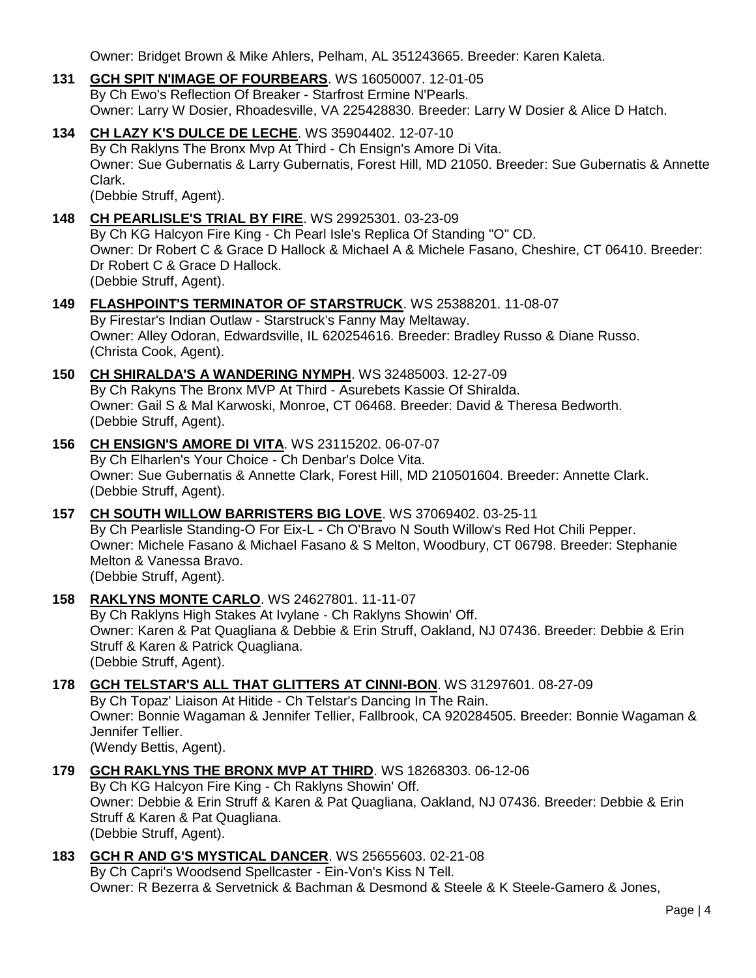Owner: Bridget Brown & Mike Ahlers, Pelham, AL 351243665. Breeder: Karen Kaleta.

- **131 [GCH SPIT N'IMAGE OF FOURBEARS](http://www.infodog.com/files/bdogrsl1.prg;makc=WS%2016050007;mdog=GCH_Spit_N_Image_Of_Fourbears;wins=all)**. WS 16050007. 12-01-05 By Ch Ewo's Reflection Of Breaker - Starfrost Ermine N'Pearls. Owner: Larry W Dosier, Rhoadesville, VA 225428830. Breeder: Larry W Dosier & Alice D Hatch.
- **134 [CH LAZY K'S DULCE DE LECHE](http://www.infodog.com/files/bdogrsl1.prg;makc=WS%2035904402;mdog=Ch_Lazy_K_s_Dulce_De_Leche;wins=all)**. WS 35904402. 12-07-10 By Ch Raklyns The Bronx Mvp At Third - Ch Ensign's Amore Di Vita. Owner: Sue Gubernatis & Larry Gubernatis, Forest Hill, MD 21050. Breeder: Sue Gubernatis & Annette Clark. (Debbie Struff, Agent).
	-
- **148 [CH PEARLISLE'S](http://www.infodog.com/files/bdogrsl1.prg;makc=WS%2029925301;mdog=Ch_Pearlisle_s_Trial_By_Fire;wins=all) TRIAL BY FIRE**. WS 29925301. 03-23-09 By Ch KG Halcyon Fire King - Ch Pearl Isle's Replica Of Standing "O" CD. Owner: Dr Robert C & Grace D Hallock & Michael A & Michele Fasano, Cheshire, CT 06410. Breeder: Dr Robert C & Grace D Hallock. (Debbie Struff, Agent).
- **149 [FLASHPOINT'S TERMINATOR OF STARSTRUCK](http://www.infodog.com/files/bdogrsl1.prg;makc=WS%2025388201;mdog=Flashpoint_s_Terminator_Of_Starstruck;wins=all)**. WS 25388201. 11-08-07 By Firestar's Indian Outlaw - Starstruck's Fanny May Meltaway. Owner: Alley Odoran, Edwardsville, IL 620254616. Breeder: Bradley Russo & Diane Russo. (Christa Cook, Agent).
- **150 [CH SHIRALDA'S A WANDERING NYMPH](http://www.infodog.com/files/bdogrsl1.prg;makc=WS%2032485003;mdog=Ch_Shiralda_s_A_Wandering_Nymph;wins=all)**. WS 32485003. 12-27-09 By Ch Rakyns The Bronx MVP At Third - Asurebets Kassie Of Shiralda. Owner: Gail S & Mal Karwoski, Monroe, CT 06468. Breeder: David & Theresa Bedworth. (Debbie Struff, Agent).
- **156 [CH ENSIGN'S AMORE DI VITA](http://www.infodog.com/files/bdogrsl1.prg;makc=WS%2023115202;mdog=Ch_Ensign_s_Amore_Di_Vita;wins=all)**. WS 23115202. 06-07-07 By Ch Elharlen's Your Choice - Ch Denbar's Dolce Vita. Owner: Sue Gubernatis & Annette Clark, Forest Hill, MD 210501604. Breeder: Annette Clark. (Debbie Struff, Agent).
- **157 [CH SOUTH WILLOW BARRISTERS BIG LOVE](http://www.infodog.com/files/bdogrsl1.prg;makc=WS%2037069402;mdog=Ch_South_Willow_Barristers_Big_Love;wins=all)**. WS 37069402. 03-25-11 By Ch Pearlisle Standing-O For Eix-L - Ch O'Bravo N South Willow's Red Hot Chili Pepper. Owner: Michele Fasano & Michael Fasano & S Melton, Woodbury, CT 06798. Breeder: Stephanie Melton & Vanessa Bravo. (Debbie Struff, Agent).
- **158 [RAKLYNS MONTE CARLO](http://www.infodog.com/files/bdogrsl1.prg;makc=WS%2024627801;mdog=Raklyns_Monte_Carlo;wins=all)**. WS 24627801. 11-11-07 By Ch Raklyns High Stakes At Ivylane - Ch Raklyns Showin' Off. Owner: Karen & Pat Quagliana & Debbie & Erin Struff, Oakland, NJ 07436. Breeder: Debbie & Erin Struff & Karen & Patrick Quagliana. (Debbie Struff, Agent).
- **178 [GCH TELSTAR'S ALL THAT GLITTERS AT CINNI-BON](http://www.infodog.com/files/bdogrsl1.prg;makc=WS%2031297601;mdog=GCH_Telstar_s_All_That_Glitters_At_Cinni-Bon;wins=all)**. WS 31297601. 08-27-09 By Ch Topaz' Liaison At Hitide - Ch Telstar's Dancing In The Rain. Owner: Bonnie Wagaman & Jennifer Tellier, Fallbrook, CA 920284505. Breeder: Bonnie Wagaman & Jennifer Tellier.

(Wendy Bettis, Agent).

- **179 [GCH RAKLYNS THE BRONX MVP AT THIRD](http://www.infodog.com/files/bdogrsl1.prg;makc=WS%2018268303;mdog=GCH_Raklyns_The_Bronx_MVP_At_Third;wins=all)**. WS 18268303. 06-12-06 By Ch KG Halcyon Fire King - Ch Raklyns Showin' Off. Owner: Debbie & Erin Struff & Karen & Pat Quagliana, Oakland, NJ 07436. Breeder: Debbie & Erin Struff & Karen & Pat Quagliana. (Debbie Struff, Agent).
- **183 [GCH R AND G'S MYSTICAL DANCER](http://www.infodog.com/files/bdogrsl1.prg;makc=WS%2025655603;mdog=GCH_R_And_G_s_Mystical_Dancer;wins=all)**. WS 25655603. 02-21-08 By Ch Capri's Woodsend Spellcaster - Ein-Von's Kiss N Tell. Owner: R Bezerra & Servetnick & Bachman & Desmond & Steele & K Steele-Gamero & Jones,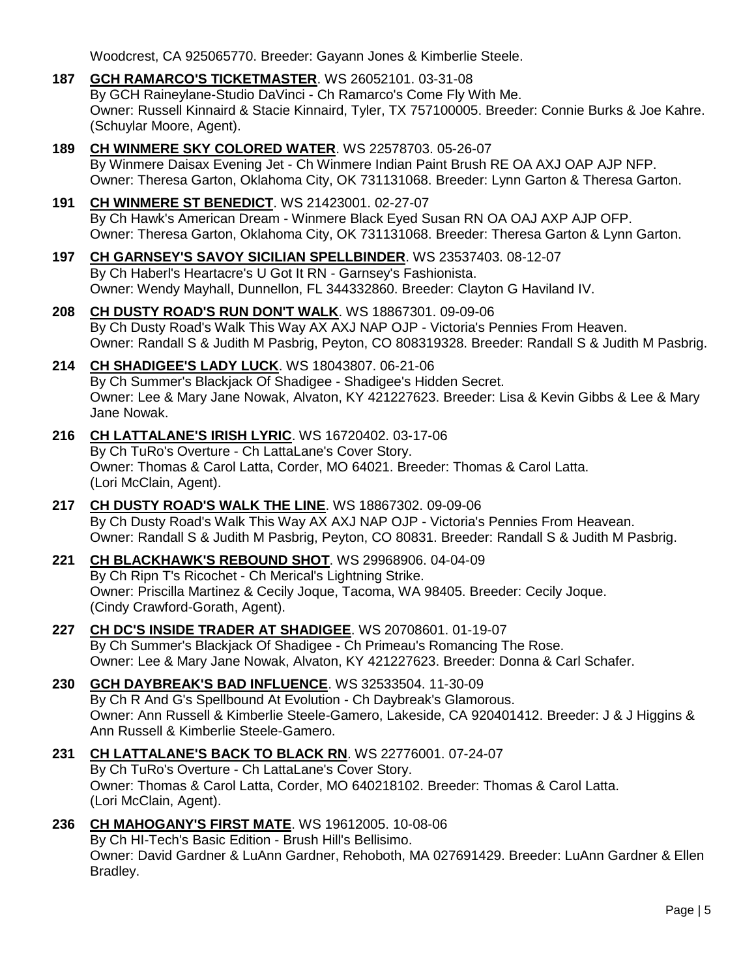Woodcrest, CA 925065770. Breeder: Gayann Jones & Kimberlie Steele.

- **187 [GCH RAMARCO'S TICKETMASTER](http://www.infodog.com/files/bdogrsl1.prg;makc=WS%2026052101;mdog=GCH_Ramarco_s_Ticketmaster;wins=all)**. WS 26052101. 03-31-08 By GCH Raineylane-Studio DaVinci - Ch Ramarco's Come Fly With Me. Owner: Russell Kinnaird & Stacie Kinnaird, Tyler, TX 757100005. Breeder: Connie Burks & Joe Kahre. (Schuylar Moore, Agent).
- **189 [CH WINMERE SKY COLORED WATER](http://www.infodog.com/files/bdogrsl1.prg;makc=WS%2022578703;mdog=Ch_Winmere_Sky_Colored_Water;wins=all)**. WS 22578703. 05-26-07 By Winmere Daisax Evening Jet - Ch Winmere Indian Paint Brush RE OA AXJ OAP AJP NFP. Owner: Theresa Garton, Oklahoma City, OK 731131068. Breeder: Lynn Garton & Theresa Garton.
- **191 [CH WINMERE ST BENEDICT](http://www.infodog.com/files/bdogrsl1.prg;makc=WS%2021423001;mdog=Ch_Winmere_St_Benedict;wins=all)**. WS 21423001. 02-27-07 By Ch Hawk's American Dream - Winmere Black Eyed Susan RN OA OAJ AXP AJP OFP. Owner: Theresa Garton, Oklahoma City, OK 731131068. Breeder: Theresa Garton & Lynn Garton.
- **197 [CH GARNSEY'S SAVOY SICILIAN SPELLBINDER](http://www.infodog.com/files/bdogrsl1.prg;makc=WS%2023537403;mdog=Ch_Garnsey_s_Savoy_Sicilian_Spellbinder;wins=all)**. WS 23537403. 08-12-07 By Ch Haberl's Heartacre's U Got It RN - Garnsey's Fashionista. Owner: Wendy Mayhall, Dunnellon, FL 344332860. Breeder: Clayton G Haviland IV.
- **208 [CH DUSTY ROAD'S RUN DON'T WALK](http://www.infodog.com/files/bdogrsl1.prg;makc=WS%2018867301;mdog=Ch_Dusty_Road_s_Run_Don_t_Walk;wins=all)**. WS 18867301. 09-09-06 By Ch Dusty Road's Walk This Way AX AXJ NAP OJP - Victoria's Pennies From Heaven. Owner: Randall S & Judith M Pasbrig, Peyton, CO 808319328. Breeder: Randall S & Judith M Pasbrig.
- **214 [CH SHADIGEE'S LADY LUCK](http://www.infodog.com/files/bdogrsl1.prg;makc=WS%2018043807;mdog=Ch_Shadigee_s_Lady_Luck;wins=all)**. WS 18043807. 06-21-06 By Ch Summer's Blackjack Of Shadigee - Shadigee's Hidden Secret. Owner: Lee & Mary Jane Nowak, Alvaton, KY 421227623. Breeder: Lisa & Kevin Gibbs & Lee & Mary Jane Nowak.
- **216 [CH LATTALANE'S IRISH LYRIC](http://www.infodog.com/files/bdogrsl1.prg;makc=WS%2016720402;mdog=Ch_LattaLane_s_Irish_Lyric;wins=all)**. WS 16720402. 03-17-06 By Ch TuRo's Overture - Ch LattaLane's Cover Story. Owner: Thomas & Carol Latta, Corder, MO 64021. Breeder: Thomas & Carol Latta. (Lori McClain, Agent).
- **217 [CH DUSTY ROAD'S WALK THE LINE](http://www.infodog.com/files/bdogrsl1.prg;makc=WS%2018867302;mdog=Ch_Dusty_Road_s_Walk_The_Line;wins=all)**. WS 18867302. 09-09-06 By Ch Dusty Road's Walk This Way AX AXJ NAP OJP - Victoria's Pennies From Heavean. Owner: Randall S & Judith M Pasbrig, Peyton, CO 80831. Breeder: Randall S & Judith M Pasbrig.
- **221 [CH BLACKHAWK'S REBOUND SHOT](http://www.infodog.com/files/bdogrsl1.prg;makc=WS%2029968906;mdog=Ch_Blackhawk_s_Rebound_Shot;wins=all)**. WS 29968906. 04-04-09 By Ch Ripn T's Ricochet - Ch Merical's Lightning Strike. Owner: Priscilla Martinez & Cecily Joque, Tacoma, WA 98405. Breeder: Cecily Joque. (Cindy Crawford-Gorath, Agent).
- **227 [CH DC'S INSIDE TRADER AT SHADIGEE](http://www.infodog.com/files/bdogrsl1.prg;makc=WS%2020708601;mdog=Ch_DC_s_Inside_Trader_At_Shadigee;wins=all)**. WS 20708601. 01-19-07 By Ch Summer's Blackjack Of Shadigee - Ch Primeau's Romancing The Rose. Owner: Lee & Mary Jane Nowak, Alvaton, KY 421227623. Breeder: Donna & Carl Schafer.
- **230 [GCH DAYBREAK'S BAD INFLUENCE](http://www.infodog.com/files/bdogrsl1.prg;makc=WS%2032533504;mdog=GCH_Daybreak_s_Bad_Influence;wins=all)**. WS 32533504. 11-30-09 By Ch R And G's Spellbound At Evolution - Ch Daybreak's Glamorous. Owner: Ann Russell & Kimberlie Steele-Gamero, Lakeside, CA 920401412. Breeder: J & J Higgins & Ann Russell & Kimberlie Steele-Gamero.
- **231 [CH LATTALANE'S BACK TO BLACK RN](http://www.infodog.com/files/bdogrsl1.prg;makc=WS%2022776001;mdog=Ch_LattaLane_s_Back_To_Black_RN;wins=all)**. WS 22776001. 07-24-07 By Ch TuRo's Overture - Ch LattaLane's Cover Story. Owner: Thomas & Carol Latta, Corder, MO 640218102. Breeder: Thomas & Carol Latta. (Lori McClain, Agent).
- **236 [CH MAHOGANY'S FIRST MATE](http://www.infodog.com/files/bdogrsl1.prg;makc=WS%2019612005;mdog=Ch_Mahogany_s_First_Mate;wins=all)**. WS 19612005. 10-08-06 By Ch HI-Tech's Basic Edition - Brush Hill's Bellisimo. Owner: David Gardner & LuAnn Gardner, Rehoboth, MA 027691429. Breeder: LuAnn Gardner & Ellen Bradley.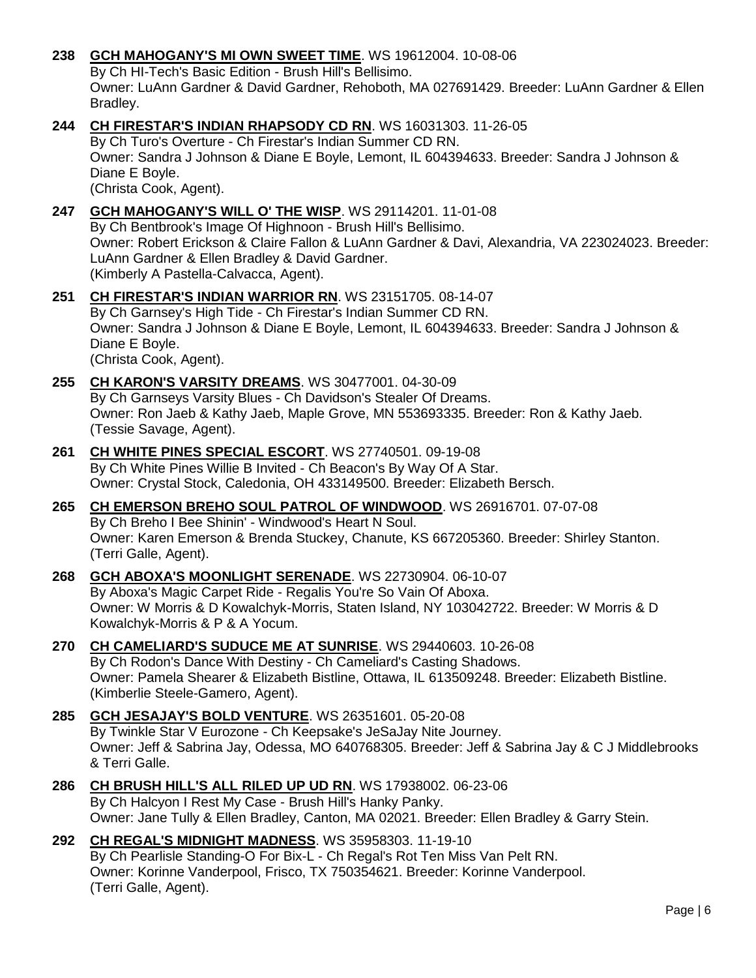## **238 [GCH MAHOGANY'S MI OWN SWEET TIME](http://www.infodog.com/files/bdogrsl1.prg;makc=WS%2019612004;mdog=GCH_Mahogany_s_MI_Own_Sweet_Time;wins=all)**. WS 19612004. 10-08-06

By Ch HI-Tech's Basic Edition - Brush Hill's Bellisimo.

Owner: LuAnn Gardner & David Gardner, Rehoboth, MA 027691429. Breeder: LuAnn Gardner & Ellen Bradley.

## **244 [CH FIRESTAR'S INDIAN RHAPSODY CD RN](http://www.infodog.com/files/bdogrsl1.prg;makc=WS%2016031303;mdog=Ch_Firestar_s_Indian_Rhapsody_CD_RN;wins=all)**. WS 16031303. 11-26-05

By Ch Turo's Overture - Ch Firestar's Indian Summer CD RN. Owner: Sandra J Johnson & Diane E Boyle, Lemont, IL 604394633. Breeder: Sandra J Johnson & Diane E Boyle. (Christa Cook, Agent).

**247 [GCH MAHOGANY'S WILL O' THE WISP](http://www.infodog.com/files/bdogrsl1.prg;makc=WS%2029114201;mdog=GCH_Mahogany_s_Will_O__The_Wisp;wins=all)**. WS 29114201. 11-01-08

By Ch Bentbrook's Image Of Highnoon - Brush Hill's Bellisimo. Owner: Robert Erickson & Claire Fallon & LuAnn Gardner & Davi, Alexandria, VA 223024023. Breeder: LuAnn Gardner & Ellen Bradley & David Gardner. (Kimberly A Pastella-Calvacca, Agent).

- **251 [CH FIRESTAR'S INDIAN WARRIOR RN](http://www.infodog.com/files/bdogrsl1.prg;makc=WS%2023151705;mdog=Ch_Firestar_s_Indian_Warrior_RN;wins=all)**. WS 23151705. 08-14-07 By Ch Garnsey's High Tide - Ch Firestar's Indian Summer CD RN. Owner: Sandra J Johnson & Diane E Boyle, Lemont, IL 604394633. Breeder: Sandra J Johnson & Diane E Boyle. (Christa Cook, Agent).
- **255 [CH KARON'S VARSITY DREAMS](http://www.infodog.com/files/bdogrsl1.prg;makc=WS%2030477001;mdog=Ch_Karon_s_Varsity_Dreams;wins=all)**. WS 30477001. 04-30-09 By Ch Garnseys Varsity Blues - Ch Davidson's Stealer Of Dreams. Owner: Ron Jaeb & Kathy Jaeb, Maple Grove, MN 553693335. Breeder: Ron & Kathy Jaeb. (Tessie Savage, Agent).
- **261 [CH WHITE PINES SPECIAL ESCORT](http://www.infodog.com/files/bdogrsl1.prg;makc=WS%2027740501;mdog=Ch_White_Pines_Special_Escort;wins=all)**. WS 27740501. 09-19-08 By Ch White Pines Willie B Invited - Ch Beacon's By Way Of A Star. Owner: Crystal Stock, Caledonia, OH 433149500. Breeder: Elizabeth Bersch.
- **265 [CH EMERSON BREHO SOUL PATROL OF WINDWOOD](http://www.infodog.com/files/bdogrsl1.prg;makc=WS%2026916701;mdog=Ch_Emerson_Breho_Soul_Patrol_Of_Windwood;wins=all)**. WS 26916701. 07-07-08 By Ch Breho I Bee Shinin' - Windwood's Heart N Soul. Owner: Karen Emerson & Brenda Stuckey, Chanute, KS 667205360. Breeder: Shirley Stanton. (Terri Galle, Agent).
- **268 [GCH ABOXA'S MOONLIGHT SERENADE](http://www.infodog.com/files/bdogrsl1.prg;makc=WS%2022730904;mdog=GCH_Aboxa_s_Moonlight_Serenade;wins=all)**. WS 22730904. 06-10-07 By Aboxa's Magic Carpet Ride - Regalis You're So Vain Of Aboxa. Owner: W Morris & D Kowalchyk-Morris, Staten Island, NY 103042722. Breeder: W Morris & D Kowalchyk-Morris & P & A Yocum.
- **270 [CH CAMELIARD'S SUDUCE ME AT SUNRISE](http://www.infodog.com/files/bdogrsl1.prg;makc=WS%2029440603;mdog=Ch_Cameliard_s_Suduce_Me_At_Sunrise;wins=all)**. WS 29440603. 10-26-08 By Ch Rodon's Dance With Destiny - Ch Cameliard's Casting Shadows. Owner: Pamela Shearer & Elizabeth Bistline, Ottawa, IL 613509248. Breeder: Elizabeth Bistline. (Kimberlie Steele-Gamero, Agent).
- **285 [GCH JESAJAY'S BOLD VENTURE](http://www.infodog.com/files/bdogrsl1.prg;makc=WS%2026351601;mdog=GCH_JeSaJay_s_Bold_Venture;wins=all)**. WS 26351601. 05-20-08 By Twinkle Star V Eurozone - Ch Keepsake's JeSaJay Nite Journey. Owner: Jeff & Sabrina Jay, Odessa, MO 640768305. Breeder: Jeff & Sabrina Jay & C J Middlebrooks & Terri Galle.
- **286 [CH BRUSH HILL'S ALL RILED UP UD RN](http://www.infodog.com/files/bdogrsl1.prg;makc=WS%2017938002;mdog=Ch_Brush_Hill_s_All_Riled_Up_UD_RN;wins=all)**. WS 17938002. 06-23-06 By Ch Halcyon I Rest My Case - Brush Hill's Hanky Panky. Owner: Jane Tully & Ellen Bradley, Canton, MA 02021. Breeder: Ellen Bradley & Garry Stein.
- **292 [CH REGAL'S MIDNIGHT MADNESS](http://www.infodog.com/files/bdogrsl1.prg;makc=WS%2035958303;mdog=Ch_Regal_s_Midnight_Madness;wins=all)**. WS 35958303. 11-19-10 By Ch Pearlisle Standing-O For Bix-L - Ch Regal's Rot Ten Miss Van Pelt RN. Owner: Korinne Vanderpool, Frisco, TX 750354621. Breeder: Korinne Vanderpool. (Terri Galle, Agent).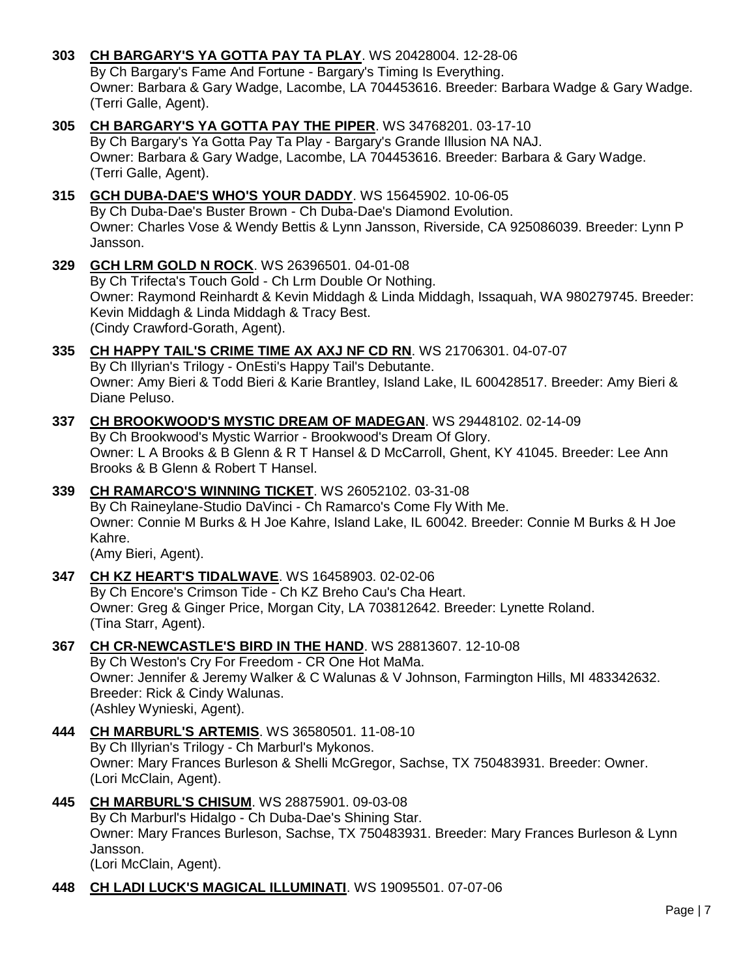- **303 [CH BARGARY'S YA GOTTA PAY TA PLAY](http://www.infodog.com/files/bdogrsl1.prg;makc=WS%2020428004;mdog=Ch_Bargary_s_Ya_Gotta_Pay_Ta_Play;wins=all)**. WS 20428004. 12-28-06 By Ch Bargary's Fame And Fortune - Bargary's Timing Is Everything. Owner: Barbara & Gary Wadge, Lacombe, LA 704453616. Breeder: Barbara Wadge & Gary Wadge. (Terri Galle, Agent).
- **305 [CH BARGARY'S YA GOTTA PAY THE PIPER](http://www.infodog.com/files/bdogrsl1.prg;makc=WS%2034768201;mdog=Ch_Bargary_s_Ya_Gotta_Pay_The_Piper;wins=all)**. WS 34768201. 03-17-10 By Ch Bargary's Ya Gotta Pay Ta Play - Bargary's Grande Illusion NA NAJ. Owner: Barbara & Gary Wadge, Lacombe, LA 704453616. Breeder: Barbara & Gary Wadge. (Terri Galle, Agent).
- **315 [GCH DUBA-DAE'S WHO'S YOUR DADDY](http://www.infodog.com/files/bdogrsl1.prg;makc=WS%2015645902;mdog=GCH_Duba-Dae_s_Who_s_Your_Daddy;wins=all)**. WS 15645902. 10-06-05 By Ch Duba-Dae's Buster Brown - Ch Duba-Dae's Diamond Evolution. Owner: Charles Vose & Wendy Bettis & Lynn Jansson, Riverside, CA 925086039. Breeder: Lynn P Jansson.
- **329 [GCH LRM GOLD N ROCK](http://www.infodog.com/files/bdogrsl1.prg;makc=WS%2026396501;mdog=GCH_Lrm_Gold_N_Rock;wins=all)**. WS 26396501. 04-01-08 By Ch Trifecta's Touch Gold - Ch Lrm Double Or Nothing. Owner: Raymond Reinhardt & Kevin Middagh & Linda Middagh, Issaquah, WA 980279745. Breeder: Kevin Middagh & Linda Middagh & Tracy Best. (Cindy Crawford-Gorath, Agent).
- **335 [CH HAPPY TAIL'S CRIME TIME AX AXJ NF CD RN](http://www.infodog.com/files/bdogrsl1.prg;makc=WS%2021706301;mdog=Ch_Happy_Tail_s_Crime_Time_AX_AXJ_NF_CD_RN;wins=all)**. WS 21706301. 04-07-07 By Ch Illyrian's Trilogy - OnEsti's Happy Tail's Debutante. Owner: Amy Bieri & Todd Bieri & Karie Brantley, Island Lake, IL 600428517. Breeder: Amy Bieri & Diane Peluso.
- **337 [CH BROOKWOOD'S MYSTIC DREAM OF MADEGAN](http://www.infodog.com/files/bdogrsl1.prg;makc=WS%2029448102;mdog=Ch_Brookwood_s_Mystic_Dream_Of_Madegan;wins=all)**. WS 29448102. 02-14-09 By Ch Brookwood's Mystic Warrior - Brookwood's Dream Of Glory. Owner: L A Brooks & B Glenn & R T Hansel & D McCarroll, Ghent, KY 41045. Breeder: Lee Ann Brooks & B Glenn & Robert T Hansel.
- **339 [CH RAMARCO'S WINNING TICKET](http://www.infodog.com/files/bdogrsl1.prg;makc=WS%2026052102;mdog=Ch_Ramarco_s_Winning_Ticket;wins=all)**. WS 26052102. 03-31-08 By Ch Raineylane-Studio DaVinci - Ch Ramarco's Come Fly With Me. Owner: Connie M Burks & H Joe Kahre, Island Lake, IL 60042. Breeder: Connie M Burks & H Joe Kahre.

(Amy Bieri, Agent).

- **347 [CH KZ HEART'S TIDALWAVE](http://www.infodog.com/files/bdogrsl1.prg;makc=WS%2016458903;mdog=Ch_KZ_Heart_s_Tidalwave;wins=all)**. WS 16458903. 02-02-06 By Ch Encore's Crimson Tide - Ch KZ Breho Cau's Cha Heart. Owner: Greg & Ginger Price, Morgan City, LA 703812642. Breeder: Lynette Roland. (Tina Starr, Agent).
- **367 [CH CR-NEWCASTLE'S BIRD IN THE HAND](http://www.infodog.com/files/bdogrsl1.prg;makc=WS%2028813607;mdog=Ch_CR-Newcastle_s_Bird_In_The_Hand;wins=all)**. WS 28813607. 12-10-08 By Ch Weston's Cry For Freedom - CR One Hot MaMa. Owner: Jennifer & Jeremy Walker & C Walunas & V Johnson, Farmington Hills, MI 483342632. Breeder: Rick & Cindy Walunas. (Ashley Wynieski, Agent).
- **444 [CH MARBURL'S ARTEMIS](http://www.infodog.com/files/bdogrsl1.prg;makc=WS%2036580501;mdog=Ch_Marburl_s_Artemis;wins=all)**. WS 36580501. 11-08-10 By Ch Illyrian's Trilogy - Ch Marburl's Mykonos. Owner: Mary Frances Burleson & Shelli McGregor, Sachse, TX 750483931. Breeder: Owner. (Lori McClain, Agent).
- **445 [CH MARBURL'S CHISUM](http://www.infodog.com/files/bdogrsl1.prg;makc=WS%2028875901;mdog=Ch_Marburl_s_Chisum;wins=all)**. WS 28875901. 09-03-08 By Ch Marburl's Hidalgo - Ch Duba-Dae's Shining Star. Owner: Mary Frances Burleson, Sachse, TX 750483931. Breeder: Mary Frances Burleson & Lynn Jansson. (Lori McClain, Agent).
- **448 [CH LADI LUCK'S MAGICAL ILLUMINATI](http://www.infodog.com/files/bdogrsl1.prg;makc=WS%2019095501;mdog=Ch_Ladi_Luck_s_Magical_Illuminati;wins=all)**. WS 19095501. 07-07-06